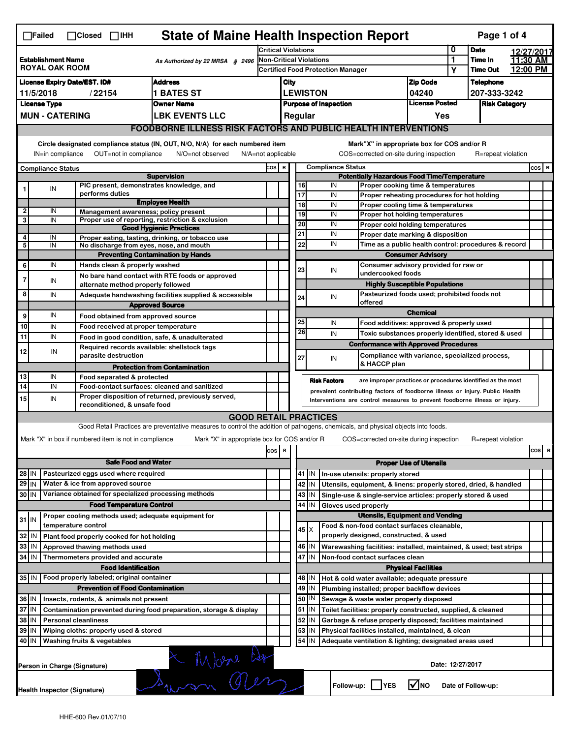|                                                                                                                                                                           | $\Box$ Failed                                                                                                       |  | $\Box$ Closed<br>$\Box$ IHH                                                             | <b>State of Maine Health Inspection Report</b>                                                                                    |         |                                                                              |                                                                                                                                   |                                             |                              |                                                                            |                                |   | Page 1 of 4          |          |           |  |
|---------------------------------------------------------------------------------------------------------------------------------------------------------------------------|---------------------------------------------------------------------------------------------------------------------|--|-----------------------------------------------------------------------------------------|-----------------------------------------------------------------------------------------------------------------------------------|---------|------------------------------------------------------------------------------|-----------------------------------------------------------------------------------------------------------------------------------|---------------------------------------------|------------------------------|----------------------------------------------------------------------------|--------------------------------|---|----------------------|----------|-----------|--|
| <b>Establishment Name</b><br>As Authorized by 22 MRSA § 2496<br><b>ROYAL OAK ROOM</b>                                                                                     |                                                                                                                     |  |                                                                                         | <b>Critical Violations</b>                                                                                                        |         |                                                                              |                                                                                                                                   | 0                                           | <b>Date</b>                  |                                                                            | 12/27/2017                     |   |                      |          |           |  |
|                                                                                                                                                                           |                                                                                                                     |  |                                                                                         | <b>Non-Critical Violations</b><br>Certified Food Protection Manager                                                               |         |                                                                              |                                                                                                                                   |                                             |                              | 1                                                                          | Time In                        |   | 11:30 AM             |          |           |  |
|                                                                                                                                                                           |                                                                                                                     |  |                                                                                         |                                                                                                                                   |         |                                                                              |                                                                                                                                   |                                             |                              |                                                                            |                                | Y | <b>Time Out</b>      | 12:00 PM |           |  |
|                                                                                                                                                                           | <b>Address</b><br><b>License Expiry Date/EST. ID#</b>                                                               |  |                                                                                         |                                                                                                                                   |         | City                                                                         |                                                                                                                                   |                                             |                              |                                                                            | <b>Zip Code</b>                |   | <b>Telephone</b>     |          |           |  |
|                                                                                                                                                                           | <b>1 BATES ST</b><br>11/5/2018<br>/22154                                                                            |  |                                                                                         |                                                                                                                                   |         |                                                                              |                                                                                                                                   | <b>LEWISTON</b>                             |                              |                                                                            | 04240<br><b>License Posted</b> |   | 207-333-3242         |          |           |  |
|                                                                                                                                                                           | <b>License Type</b><br><b>Owner Name</b>                                                                            |  |                                                                                         |                                                                                                                                   |         |                                                                              |                                                                                                                                   |                                             | <b>Purpose of Inspection</b> |                                                                            |                                |   | <b>Risk Category</b> |          |           |  |
|                                                                                                                                                                           | <b>MUN - CATERING</b><br><b>LBK EVENTS LLC</b>                                                                      |  |                                                                                         |                                                                                                                                   |         |                                                                              | Regular                                                                                                                           |                                             |                              |                                                                            | Yes                            |   |                      |          |           |  |
|                                                                                                                                                                           |                                                                                                                     |  |                                                                                         | <b>FOODBORNE ILLNESS RISK FACTORS AND PUBLIC HEALTH INTERVENTIONS</b>                                                             |         |                                                                              |                                                                                                                                   |                                             |                              |                                                                            |                                |   |                      |          |           |  |
| Circle designated compliance status (IN, OUT, N/O, N/A) for each numbered item<br>OUT=not in compliance<br>IN=in compliance<br>N/O=not observed<br>$N/A = not$ applicable |                                                                                                                     |  |                                                                                         |                                                                                                                                   |         |                                                                              |                                                                                                                                   | Mark"X" in appropriate box for COS and/or R |                              |                                                                            | R=repeat violation             |   |                      |          |           |  |
|                                                                                                                                                                           |                                                                                                                     |  |                                                                                         |                                                                                                                                   |         | COS=corrected on-site during inspection<br>COS R<br><b>Compliance Status</b> |                                                                                                                                   |                                             |                              |                                                                            |                                |   |                      |          | $cos$ R   |  |
|                                                                                                                                                                           | <b>Compliance Status</b>                                                                                            |  |                                                                                         | <b>Supervision</b>                                                                                                                |         |                                                                              |                                                                                                                                   |                                             |                              | <b>Potentially Hazardous Food Time/Temperature</b>                         |                                |   |                      |          |           |  |
| 1                                                                                                                                                                         | IN                                                                                                                  |  | PIC present, demonstrates knowledge, and                                                |                                                                                                                                   |         |                                                                              | 16                                                                                                                                |                                             | IN                           | Proper cooking time & temperatures                                         |                                |   |                      |          |           |  |
|                                                                                                                                                                           |                                                                                                                     |  | performs duties                                                                         | <b>Employee Health</b>                                                                                                            |         |                                                                              | $\overline{17}$                                                                                                                   |                                             | IN                           | Proper reheating procedures for hot holding                                |                                |   |                      |          |           |  |
| $\overline{2}$                                                                                                                                                            | IN                                                                                                                  |  | Management awareness; policy present                                                    |                                                                                                                                   |         |                                                                              | 18                                                                                                                                |                                             | IN<br>IN                     | Proper cooling time & temperatures                                         |                                |   |                      |          |           |  |
| 3                                                                                                                                                                         | IN                                                                                                                  |  |                                                                                         | Proper use of reporting, restriction & exclusion                                                                                  |         |                                                                              | 19<br>20                                                                                                                          |                                             | IN                           | Proper hot holding temperatures<br>Proper cold holding temperatures        |                                |   |                      |          |           |  |
|                                                                                                                                                                           |                                                                                                                     |  |                                                                                         | <b>Good Hygienic Practices</b>                                                                                                    |         |                                                                              | 21                                                                                                                                |                                             | IN                           | Proper date marking & disposition                                          |                                |   |                      |          |           |  |
| 4<br>5                                                                                                                                                                    | IN<br>IN                                                                                                            |  | No discharge from eyes, nose, and mouth                                                 | Proper eating, tasting, drinking, or tobacco use                                                                                  |         |                                                                              | 22                                                                                                                                |                                             | IN                           | Time as a public health control: procedures & record                       |                                |   |                      |          |           |  |
|                                                                                                                                                                           |                                                                                                                     |  |                                                                                         | <b>Preventing Contamination by Hands</b>                                                                                          |         |                                                                              |                                                                                                                                   |                                             |                              | <b>Consumer Advisory</b>                                                   |                                |   |                      |          |           |  |
| 6                                                                                                                                                                         | IN                                                                                                                  |  | Hands clean & properly washed                                                           |                                                                                                                                   |         |                                                                              | 23                                                                                                                                |                                             | IN                           | Consumer advisory provided for raw or                                      |                                |   |                      |          |           |  |
| $\overline{7}$                                                                                                                                                            | IN                                                                                                                  |  |                                                                                         | No bare hand contact with RTE foods or approved                                                                                   |         |                                                                              |                                                                                                                                   |                                             |                              | undercooked foods                                                          |                                |   |                      |          |           |  |
| 8                                                                                                                                                                         |                                                                                                                     |  | alternate method properly followed                                                      |                                                                                                                                   |         |                                                                              |                                                                                                                                   |                                             |                              | <b>Highly Susceptible Populations</b>                                      |                                |   |                      |          |           |  |
|                                                                                                                                                                           | IN                                                                                                                  |  |                                                                                         | Adequate handwashing facilities supplied & accessible<br><b>Approved Source</b>                                                   |         |                                                                              | 24                                                                                                                                |                                             | IN                           | Pasteurized foods used; prohibited foods not<br>offered                    |                                |   |                      |          |           |  |
| 9                                                                                                                                                                         | IN                                                                                                                  |  | Food obtained from approved source                                                      |                                                                                                                                   |         |                                                                              |                                                                                                                                   |                                             |                              |                                                                            | <b>Chemical</b>                |   |                      |          |           |  |
| 10                                                                                                                                                                        | IN                                                                                                                  |  | Food received at proper temperature                                                     |                                                                                                                                   |         |                                                                              | 25                                                                                                                                |                                             | IN                           | Food additives: approved & properly used                                   |                                |   |                      |          |           |  |
| 11                                                                                                                                                                        | IN                                                                                                                  |  | Food in good condition, safe, & unadulterated                                           |                                                                                                                                   |         |                                                                              | 26                                                                                                                                |                                             | IN                           | Toxic substances properly identified, stored & used                        |                                |   |                      |          |           |  |
|                                                                                                                                                                           |                                                                                                                     |  | Required records available: shellstock tags                                             |                                                                                                                                   |         |                                                                              |                                                                                                                                   |                                             |                              | <b>Conformance with Approved Procedures</b>                                |                                |   |                      |          |           |  |
| 12                                                                                                                                                                        | IN                                                                                                                  |  | parasite destruction                                                                    |                                                                                                                                   |         |                                                                              | 27                                                                                                                                |                                             | IN                           | Compliance with variance, specialized process,                             |                                |   |                      |          |           |  |
|                                                                                                                                                                           |                                                                                                                     |  |                                                                                         | <b>Protection from Contamination</b>                                                                                              |         |                                                                              |                                                                                                                                   |                                             |                              | & HACCP plan                                                               |                                |   |                      |          |           |  |
| 13<br>14                                                                                                                                                                  | IN<br>IN                                                                                                            |  | Food separated & protected                                                              |                                                                                                                                   |         |                                                                              |                                                                                                                                   |                                             | <b>Risk Factors</b>          | are improper practices or procedures identified as the most                |                                |   |                      |          |           |  |
|                                                                                                                                                                           | IN                                                                                                                  |  | Food-contact surfaces: cleaned and sanitized                                            | Proper disposition of returned, previously served,                                                                                |         |                                                                              | prevalent contributing factors of foodborne illness or injury. Public Health                                                      |                                             |                              |                                                                            |                                |   |                      |          |           |  |
| 15                                                                                                                                                                        |                                                                                                                     |  | reconditioned, & unsafe food                                                            |                                                                                                                                   |         |                                                                              |                                                                                                                                   |                                             |                              | Interventions are control measures to prevent foodborne illness or injury. |                                |   |                      |          |           |  |
|                                                                                                                                                                           |                                                                                                                     |  |                                                                                         | <b>GOOD RETAIL PRACTICES</b>                                                                                                      |         |                                                                              |                                                                                                                                   |                                             |                              |                                                                            |                                |   |                      |          |           |  |
|                                                                                                                                                                           |                                                                                                                     |  |                                                                                         | Good Retail Practices are preventative measures to control the addition of pathogens, chemicals, and physical objects into foods. |         |                                                                              |                                                                                                                                   |                                             |                              |                                                                            |                                |   |                      |          |           |  |
|                                                                                                                                                                           |                                                                                                                     |  | Mark "X" in box if numbered item is not in compliance                                   | Mark "X" in appropriate box for COS and/or R                                                                                      |         |                                                                              |                                                                                                                                   |                                             |                              | COS=corrected on-site during inspection                                    |                                |   | R=repeat violation   |          |           |  |
|                                                                                                                                                                           |                                                                                                                     |  |                                                                                         |                                                                                                                                   | cos   R |                                                                              |                                                                                                                                   |                                             |                              |                                                                            |                                |   |                      |          | cosl<br>R |  |
|                                                                                                                                                                           |                                                                                                                     |  | <b>Safe Food and Water</b>                                                              |                                                                                                                                   |         |                                                                              |                                                                                                                                   |                                             |                              |                                                                            | <b>Proper Use of Utensils</b>  |   |                      |          |           |  |
| $28$ IN                                                                                                                                                                   |                                                                                                                     |  | Pasteurized eggs used where required                                                    |                                                                                                                                   |         |                                                                              | 41<br>IN.<br>In-use utensils: properly stored                                                                                     |                                             |                              |                                                                            |                                |   |                      |          |           |  |
| $29$ IN                                                                                                                                                                   |                                                                                                                     |  | Water & ice from approved source                                                        |                                                                                                                                   |         |                                                                              | 42<br>IN<br>Utensils, equipment, & linens: properly stored, dried, & handled                                                      |                                             |                              |                                                                            |                                |   |                      |          |           |  |
| $30$ IN                                                                                                                                                                   |                                                                                                                     |  | Variance obtained for specialized processing methods<br><b>Food Temperature Control</b> |                                                                                                                                   |         |                                                                              | 43<br>IN<br>Single-use & single-service articles: properly stored & used<br>44<br>IN<br>Gloves used properly                      |                                             |                              |                                                                            |                                |   |                      |          |           |  |
|                                                                                                                                                                           |                                                                                                                     |  | Proper cooling methods used; adequate equipment for                                     |                                                                                                                                   |         |                                                                              | <b>Utensils, Equipment and Vending</b>                                                                                            |                                             |                              |                                                                            |                                |   |                      |          |           |  |
| $31$ IN                                                                                                                                                                   |                                                                                                                     |  | temperature control                                                                     |                                                                                                                                   |         |                                                                              | Food & non-food contact surfaces cleanable,                                                                                       |                                             |                              |                                                                            |                                |   |                      |          |           |  |
| 32                                                                                                                                                                        | l IN                                                                                                                |  | Plant food properly cooked for hot holding                                              |                                                                                                                                   |         |                                                                              |                                                                                                                                   | 45 I X                                      |                              | properly designed, constructed, & used                                     |                                |   |                      |          |           |  |
| 33                                                                                                                                                                        | IN                                                                                                                  |  | Approved thawing methods used                                                           |                                                                                                                                   |         |                                                                              | 46<br>ΙM<br>Warewashing facilities: installed, maintained, & used; test strips                                                    |                                             |                              |                                                                            |                                |   |                      |          |           |  |
| $34$ IN                                                                                                                                                                   |                                                                                                                     |  | Thermometers provided and accurate                                                      |                                                                                                                                   |         |                                                                              | 47<br>IΙN<br>Non-food contact surfaces clean                                                                                      |                                             |                              |                                                                            |                                |   |                      |          |           |  |
|                                                                                                                                                                           |                                                                                                                     |  | <b>Food Identification</b>                                                              |                                                                                                                                   |         |                                                                              | <b>Physical Facilities</b>                                                                                                        |                                             |                              |                                                                            |                                |   |                      |          |           |  |
|                                                                                                                                                                           | 35 IN                                                                                                               |  | Food properly labeled; original container                                               |                                                                                                                                   |         |                                                                              |                                                                                                                                   | 48   IN                                     |                              | Hot & cold water available; adequate pressure                              |                                |   |                      |          |           |  |
|                                                                                                                                                                           |                                                                                                                     |  | <b>Prevention of Food Contamination</b>                                                 |                                                                                                                                   |         |                                                                              | 49                                                                                                                                | IN                                          |                              | Plumbing installed; proper backflow devices                                |                                |   |                      |          |           |  |
| 36 IN                                                                                                                                                                     |                                                                                                                     |  | Insects, rodents, & animals not present                                                 |                                                                                                                                   |         |                                                                              |                                                                                                                                   | 50   IN                                     |                              | Sewage & waste water properly disposed                                     |                                |   |                      |          |           |  |
|                                                                                                                                                                           | 37 IN<br>Contamination prevented during food preparation, storage & display<br>38 IN<br><b>Personal cleanliness</b> |  |                                                                                         |                                                                                                                                   |         |                                                                              | 51<br>ΙM<br>Toilet facilities: properly constructed, supplied, & cleaned<br>52                                                    |                                             |                              |                                                                            |                                |   |                      |          |           |  |
| 39<br>l IN<br>Wiping cloths: properly used & stored                                                                                                                       |                                                                                                                     |  |                                                                                         |                                                                                                                                   |         |                                                                              | IN<br>Garbage & refuse properly disposed; facilities maintained<br>53<br>IN<br>Physical facilities installed, maintained, & clean |                                             |                              |                                                                            |                                |   |                      |          |           |  |
|                                                                                                                                                                           | 40 IN<br>Washing fruits & vegetables                                                                                |  |                                                                                         |                                                                                                                                   |         |                                                                              | 54                                                                                                                                | IΙN                                         |                              | Adequate ventilation & lighting; designated areas used                     |                                |   |                      |          |           |  |
|                                                                                                                                                                           |                                                                                                                     |  |                                                                                         |                                                                                                                                   |         |                                                                              |                                                                                                                                   |                                             |                              |                                                                            |                                |   |                      |          |           |  |
|                                                                                                                                                                           | Wore Les<br>Date: 12/27/2017<br>Person in Charge (Signature)                                                        |  |                                                                                         |                                                                                                                                   |         |                                                                              |                                                                                                                                   |                                             |                              |                                                                            |                                |   |                      |          |           |  |
|                                                                                                                                                                           |                                                                                                                     |  |                                                                                         |                                                                                                                                   |         |                                                                              |                                                                                                                                   |                                             |                              |                                                                            |                                |   |                      |          |           |  |
|                                                                                                                                                                           | l√lno<br>Follow-up:     YES<br>Date of Follow-up:<br><b>Health Inspector (Signature)</b>                            |  |                                                                                         |                                                                                                                                   |         |                                                                              |                                                                                                                                   |                                             |                              |                                                                            |                                |   |                      |          |           |  |
|                                                                                                                                                                           |                                                                                                                     |  |                                                                                         |                                                                                                                                   |         |                                                                              |                                                                                                                                   |                                             |                              |                                                                            |                                |   |                      |          |           |  |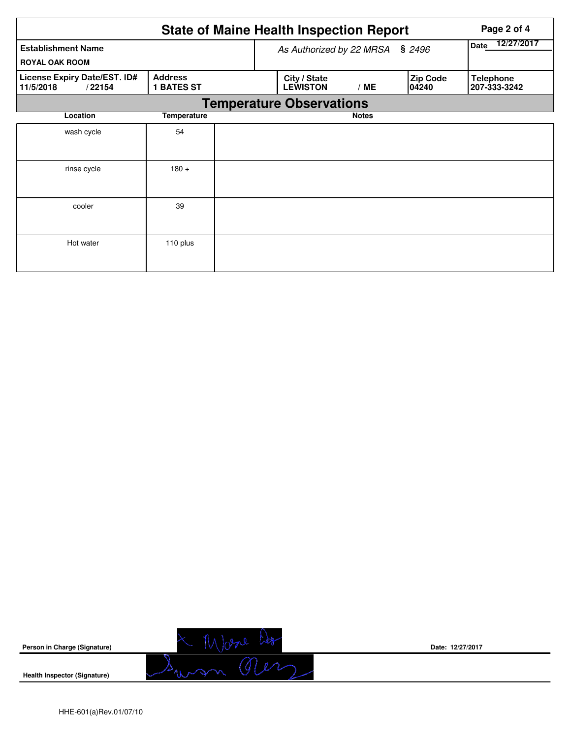|                                                     | Page 2 of 4                         |                          |                                 |     |                           |                                  |  |  |  |
|-----------------------------------------------------|-------------------------------------|--------------------------|---------------------------------|-----|---------------------------|----------------------------------|--|--|--|
| <b>Establishment Name</b><br><b>ROYAL OAK ROOM</b>  |                                     | As Authorized by 22 MRSA | 12/27/2017<br>Date              |     |                           |                                  |  |  |  |
| License Expiry Date/EST. ID#<br>11/5/2018<br>/22154 | <b>Address</b><br><b>1 BATES ST</b> |                          | City / State<br><b>LEWISTON</b> | /ME | <b>Zip Code</b><br>104240 | <b>Telephone</b><br>207-333-3242 |  |  |  |
| <b>Temperature Observations</b>                     |                                     |                          |                                 |     |                           |                                  |  |  |  |
| Location                                            |                                     |                          | <b>Notes</b>                    |     |                           |                                  |  |  |  |
| wash cycle                                          | 54                                  |                          |                                 |     |                           |                                  |  |  |  |
| rinse cycle                                         | $180 +$                             |                          |                                 |     |                           |                                  |  |  |  |
| cooler                                              | 39                                  |                          |                                 |     |                           |                                  |  |  |  |
| Hot water                                           | 110 plus                            |                          |                                 |     |                           |                                  |  |  |  |

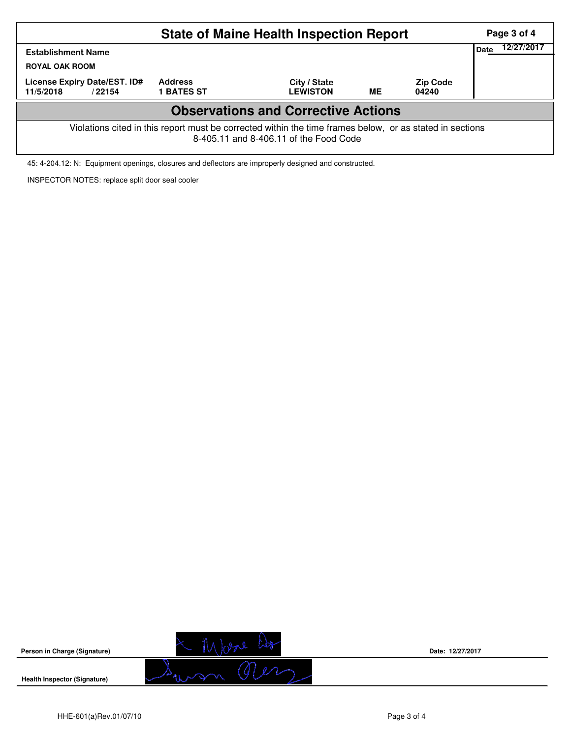|                                                                                                                                                    |                                     | Page 3 of 4<br>12/27/2017       |    |                          |  |  |  |  |  |
|----------------------------------------------------------------------------------------------------------------------------------------------------|-------------------------------------|---------------------------------|----|--------------------------|--|--|--|--|--|
| <b>Establishment Name</b><br><b>ROYAL OAK ROOM</b>                                                                                                 | Date                                |                                 |    |                          |  |  |  |  |  |
| License Expiry Date/EST. ID#<br>11/5/2018<br>/22154                                                                                                | <b>Address</b><br><b>1 BATES ST</b> | City / State<br><b>LEWISTON</b> | ME | <b>Zip Code</b><br>04240 |  |  |  |  |  |
| <b>Observations and Corrective Actions</b>                                                                                                         |                                     |                                 |    |                          |  |  |  |  |  |
| Violations cited in this report must be corrected within the time frames below, or as stated in sections<br>8-405.11 and 8-406.11 of the Food Code |                                     |                                 |    |                          |  |  |  |  |  |

45: 4-204.12: N: Equipment openings, closures and deflectors are improperly designed and constructed.

INSPECTOR NOTES: replace split door seal cooler



**Date: 12/27/2017**